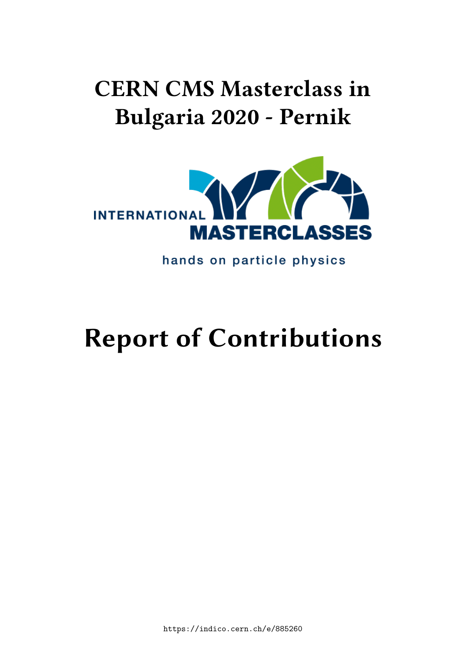## **CERN CMS Masterclass in Bulgaria 2020 - Pernik**



hands on particle physics

# **Report of Contributions**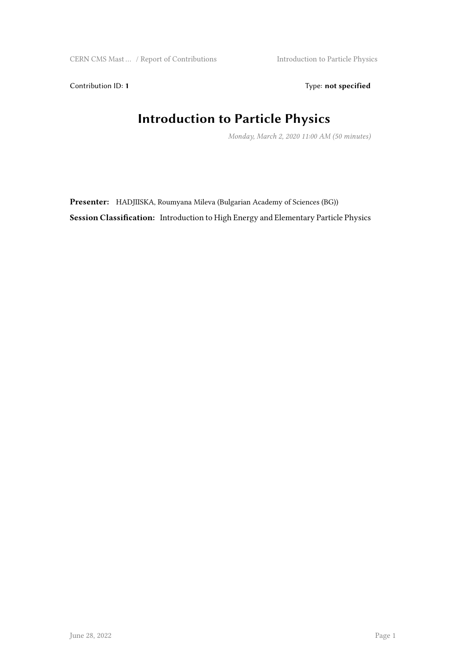Contribution ID: 1 Type: **not specified** 

#### **Introduction to Particle Physics**

*Monday, March 2, 2020 11:00 AM (50 minutes)*

Presenter: HADJIISKA, Roumyana Mileva (Bulgarian Academy of Sciences (BG)) **Session Classification:** Introduction to High Energy and Elementary Particle Physics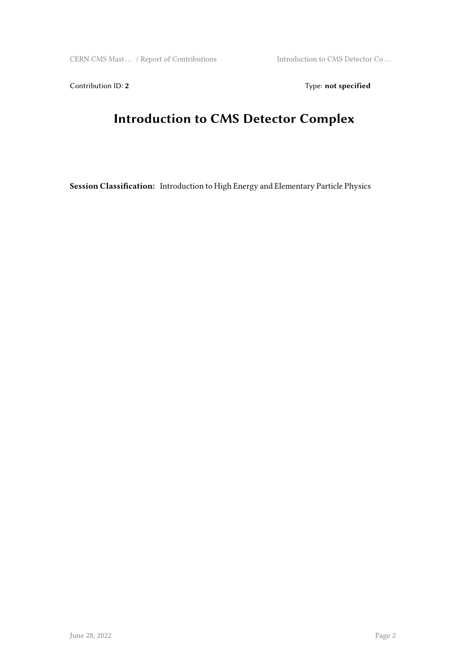Contribution ID: 2 Type: **not specified** 

#### **Introduction to CMS Detector Complex**

**Session Classification:** Introduction to High Energy and Elementary Particle Physics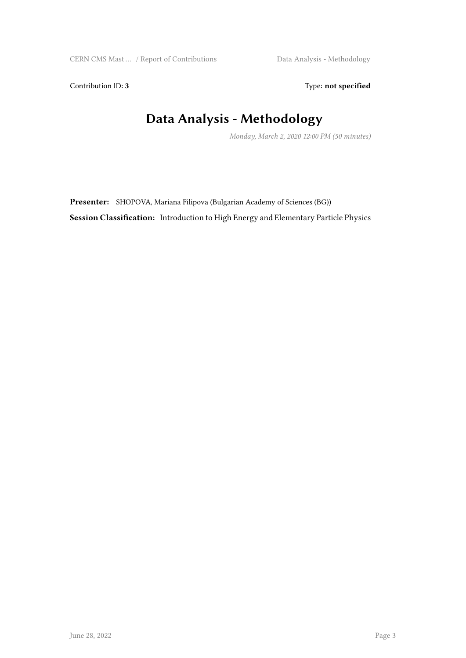Contribution ID: 3 Type: **not specified** 

#### **Data Analysis - Methodology**

*Monday, March 2, 2020 12:00 PM (50 minutes)*

**Presenter:** SHOPOVA, Mariana Filipova (Bulgarian Academy of Sciences (BG)) **Session Classification:** Introduction to High Energy and Elementary Particle Physics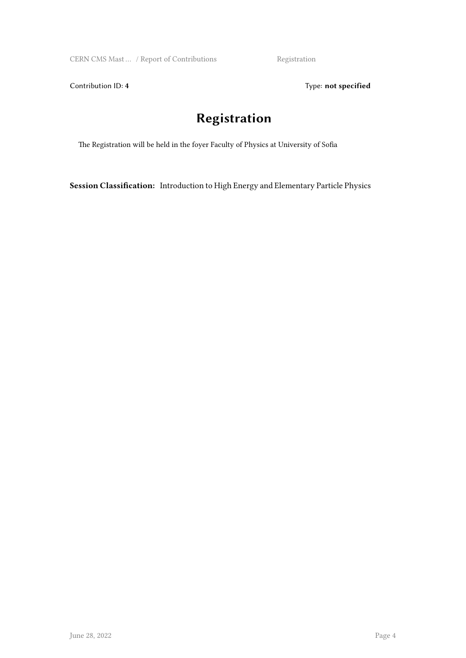CERN CMS Mast ... / Report of Contributions Registration

Contribution ID: 4 Type: **not specified** 

#### **Registration**

The Registration will be held in the foyer Faculty of Physics at University of Sofia

**Session Classification:** Introduction to High Energy and Elementary Particle Physics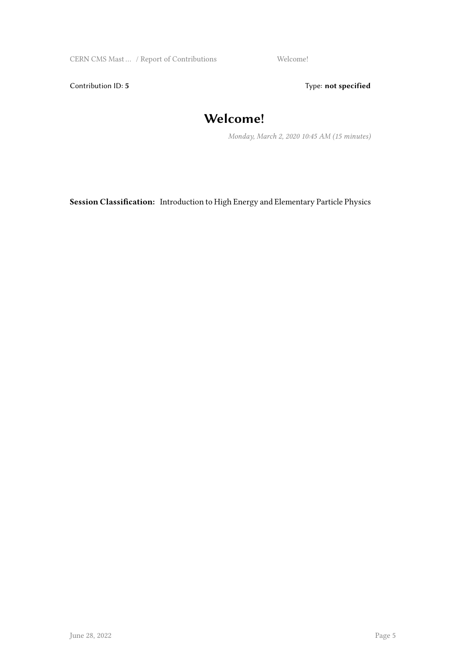CERN CMS Mast ... / Report of Contributions Welcome!

Contribution ID: 5 Type: **not specified** 

#### **Welcome!**

*Monday, March 2, 2020 10:45 AM (15 minutes)*

**Session Classification:** Introduction to High Energy and Elementary Particle Physics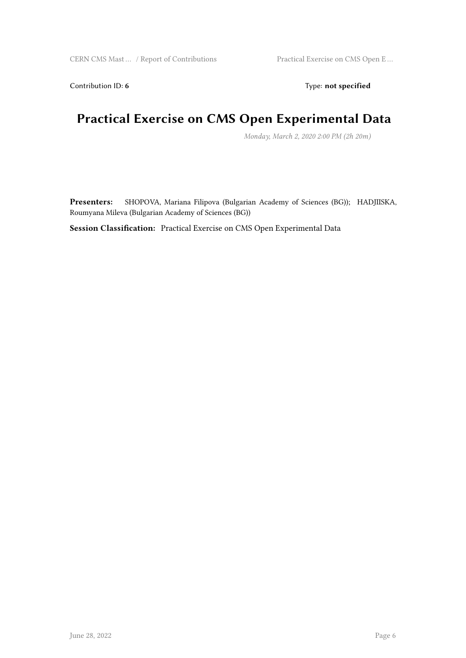Contribution ID: 6 Type: **not specified** 

#### **Practical Exercise on CMS Open Experimental Data**

*Monday, March 2, 2020 2:00 PM (2h 20m)*

**Presenters:** SHOPOVA, Mariana Filipova (Bulgarian Academy of Sciences (BG)); HADJIISKA, Roumyana Mileva (Bulgarian Academy of Sciences (BG))

**Session Classification:** Practical Exercise on CMS Open Experimental Data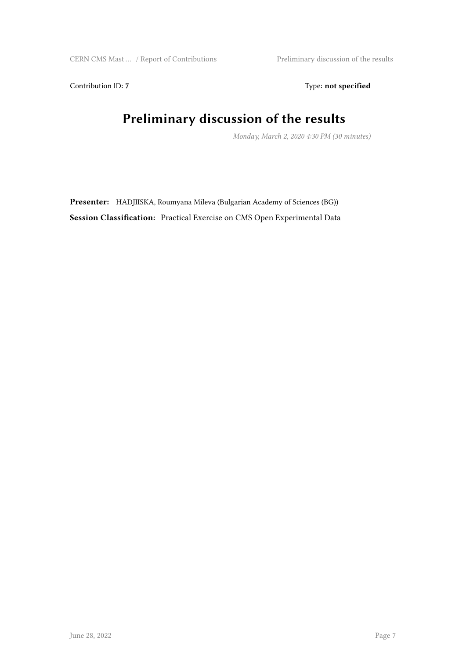Contribution ID: 7 Type: **not specified** 

### **Preliminary discussion of the results**

*Monday, March 2, 2020 4:30 PM (30 minutes)*

**Presenter:** HADJIISKA, Roumyana Mileva (Bulgarian Academy of Sciences (BG)) **Session Classification:** Practical Exercise on CMS Open Experimental Data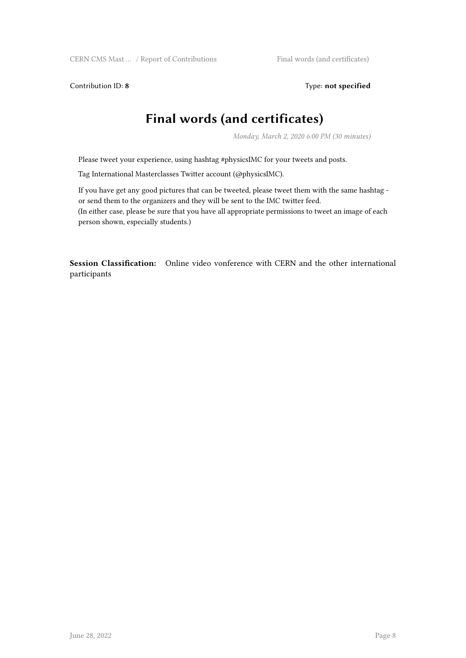Contribution ID: 8 Type: not specified

#### **Final words (and certificates)**

*Monday, March 2, 2020 6:00 PM (30 minutes)*

Please tweet your experience, using hashtag #physicsIMC for your tweets and posts.

Tag International Masterclasses Twitter account (@physicsIMC).

If you have get any good pictures that can be tweeted, please tweet them with the same hashtag or send them to the organizers and they will be sent to the IMC twitter feed. (In either case, please be sure that you have all appropriate permissions to tweet an image of each person shown, especially students.)

**Session Classification:** Online video vonference with CERN and the other international participants